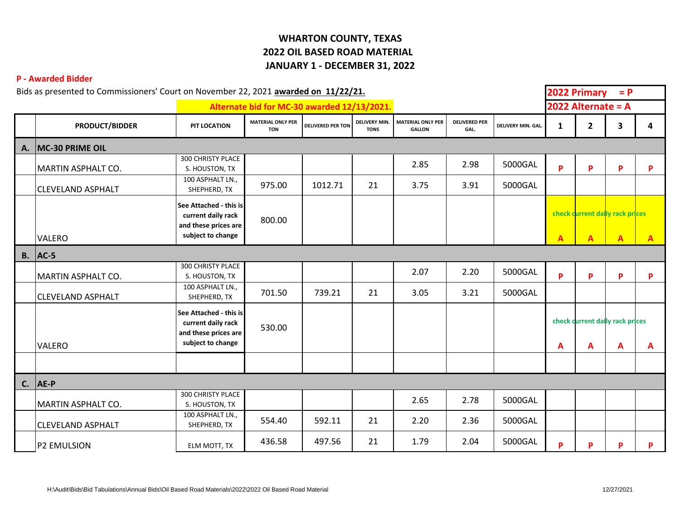## **WHARTON COUNTY, TEXAS 2022 OIL BASED ROAD MATERIAL JANUARY 1 - DECEMBER 31, 2022**

## **P - Awarded Bidder**

| Bids as presented to Commissioners' Court on November 22, 2021 awarded on 11/22/21. |                                             |                                                                                           |                                        |                          |                              |                                           |                              |                          | 2022 Primary<br>$= P$                          |                |                                                   |              |  |
|-------------------------------------------------------------------------------------|---------------------------------------------|-------------------------------------------------------------------------------------------|----------------------------------------|--------------------------|------------------------------|-------------------------------------------|------------------------------|--------------------------|------------------------------------------------|----------------|---------------------------------------------------|--------------|--|
|                                                                                     | Alternate bid for MC-30 awarded 12/13/2021. |                                                                                           |                                        |                          |                              |                                           |                              | 2022 Alternate = $A$     |                                                |                |                                                   |              |  |
|                                                                                     | <b>PRODUCT/BIDDER</b>                       | PIT LOCATION                                                                              | <b>MATERIAL ONLY PER</b><br><b>TON</b> | <b>DELIVERED PER TON</b> | DELIVERY MIN.<br><b>TONS</b> | <b>MATERIAL ONLY PER</b><br><b>GALLON</b> | <b>DELIVERED PER</b><br>GAL. | <b>DELIVERY MIN. GAL</b> | 1                                              | $\overline{2}$ | 3                                                 | 4            |  |
| А.                                                                                  | MC-30 PRIME OIL                             |                                                                                           |                                        |                          |                              |                                           |                              |                          |                                                |                |                                                   |              |  |
|                                                                                     | MARTIN ASPHALT CO.                          | 300 CHRISTY PLACE<br>S. HOUSTON, TX                                                       |                                        |                          |                              | 2.85                                      | 2.98                         | 5000GAL                  | P                                              | P.             | P                                                 | P            |  |
|                                                                                     | <b>CLEVELAND ASPHALT</b>                    | 100 ASPHALT LN.,<br>SHEPHERD, TX                                                          | 975.00                                 | 1012.71                  | 21                           | 3.75                                      | 3.91                         | 5000GAL                  |                                                |                |                                                   |              |  |
|                                                                                     | VALERO                                      | See Attached - this is<br>current daily rack<br>and these prices are<br>subject to change | 800.00                                 |                          |                              |                                           |                              |                          | $\mathbf{A}$                                   | A              | check current daily rack prices<br>$\overline{A}$ | $\mathbf{A}$ |  |
|                                                                                     | $B.$ AC-5                                   |                                                                                           |                                        |                          |                              |                                           |                              |                          |                                                |                |                                                   |              |  |
|                                                                                     | MARTIN ASPHALT CO.                          | 300 CHRISTY PLACE<br>S. HOUSTON, TX                                                       |                                        |                          |                              | 2.07                                      | 2.20                         | 5000GAL                  | P                                              | P              | P                                                 | P            |  |
|                                                                                     | <b>CLEVELAND ASPHALT</b>                    | 100 ASPHALT LN.,<br>SHEPHERD, TX                                                          | 701.50                                 | 739.21                   | 21                           | 3.05                                      | 3.21                         | 5000GAL                  |                                                |                |                                                   |              |  |
|                                                                                     | VALERO                                      | See Attached - this is<br>current daily rack<br>and these prices are<br>subject to change | 530.00                                 |                          |                              |                                           |                              |                          | check current daily rack prices<br>A<br>A<br>A |                |                                                   | A            |  |
|                                                                                     |                                             |                                                                                           |                                        |                          |                              |                                           |                              |                          |                                                |                |                                                   |              |  |
|                                                                                     | $C.  AE-P$                                  |                                                                                           |                                        |                          |                              |                                           |                              |                          |                                                |                |                                                   |              |  |
|                                                                                     | MARTIN ASPHALT CO.                          | 300 CHRISTY PLACE<br>S. HOUSTON, TX                                                       |                                        |                          |                              | 2.65                                      | 2.78                         | 5000GAL                  |                                                |                |                                                   |              |  |
|                                                                                     | <b>CLEVELAND ASPHALT</b>                    | 100 ASPHALT LN.,<br>SHEPHERD, TX                                                          | 554.40                                 | 592.11                   | 21                           | 2.20                                      | 2.36                         | 5000GAL                  |                                                |                |                                                   |              |  |
|                                                                                     | <b>P2 EMULSION</b>                          | ELM MOTT, TX                                                                              | 436.58                                 | 497.56                   | 21                           | 1.79                                      | 2.04                         | 5000GAL                  | P                                              | P              | P                                                 | P            |  |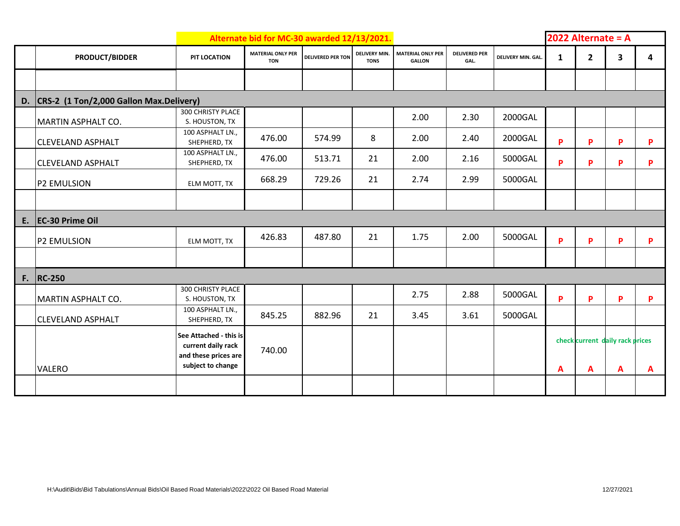| Alternate bid for MC-30 awarded 12/13/2021. |                                         |                                                                                           |                                        |                          |                                     |                                           |                              |                    |   | 2022 Alternate = $A$                 |   |   |  |  |
|---------------------------------------------|-----------------------------------------|-------------------------------------------------------------------------------------------|----------------------------------------|--------------------------|-------------------------------------|-------------------------------------------|------------------------------|--------------------|---|--------------------------------------|---|---|--|--|
|                                             | <b>PRODUCT/BIDDER</b>                   | PIT LOCATION                                                                              | <b>MATERIAL ONLY PER</b><br><b>TON</b> | <b>DELIVERED PER TON</b> | <b>DELIVERY MIN.</b><br><b>TONS</b> | <b>MATERIAL ONLY PER</b><br><b>GALLON</b> | <b>DELIVERED PER</b><br>GAL. | DELIVERY MIN. GAL. | 1 | $\overline{2}$                       | 3 | 4 |  |  |
|                                             |                                         |                                                                                           |                                        |                          |                                     |                                           |                              |                    |   |                                      |   |   |  |  |
| D.                                          | CRS-2 (1 Ton/2,000 Gallon Max.Delivery) |                                                                                           |                                        |                          |                                     |                                           |                              |                    |   |                                      |   |   |  |  |
|                                             | MARTIN ASPHALT CO.                      | 300 CHRISTY PLACE<br>S. HOUSTON, TX                                                       |                                        |                          |                                     | 2.00                                      | 2.30                         | 2000GAL            |   |                                      |   |   |  |  |
|                                             | <b>CLEVELAND ASPHALT</b>                | 100 ASPHALT LN.,<br>SHEPHERD, TX                                                          | 476.00                                 | 574.99                   | 8                                   | 2.00                                      | 2.40                         | 2000GAL            | P | P                                    | P | P |  |  |
|                                             | <b>CLEVELAND ASPHALT</b>                | 100 ASPHALT LN.,<br>SHEPHERD, TX                                                          | 476.00                                 | 513.71                   | 21                                  | 2.00                                      | 2.16                         | 5000GAL            | P | P                                    | P | P |  |  |
|                                             | <b>P2 EMULSION</b>                      | ELM MOTT, TX                                                                              | 668.29                                 | 729.26                   | 21                                  | 2.74                                      | 2.99                         | 5000GAL            |   |                                      |   |   |  |  |
|                                             |                                         |                                                                                           |                                        |                          |                                     |                                           |                              |                    |   |                                      |   |   |  |  |
| E.                                          | EC-30 Prime Oil                         |                                                                                           |                                        |                          |                                     |                                           |                              |                    |   |                                      |   |   |  |  |
|                                             | <b>P2 EMULSION</b>                      | ELM MOTT, TX                                                                              | 426.83                                 | 487.80                   | 21                                  | 1.75                                      | 2.00                         | 5000GAL            | P | P                                    | P | P |  |  |
|                                             |                                         |                                                                                           |                                        |                          |                                     |                                           |                              |                    |   |                                      |   |   |  |  |
| F.                                          | <b>RC-250</b>                           |                                                                                           |                                        |                          |                                     |                                           |                              |                    |   |                                      |   |   |  |  |
|                                             | MARTIN ASPHALT CO.                      | 300 CHRISTY PLACE<br>S. HOUSTON, TX                                                       |                                        |                          |                                     | 2.75                                      | 2.88                         | 5000GAL            | P | P                                    | P | P |  |  |
|                                             | <b>CLEVELAND ASPHALT</b>                | 100 ASPHALT LN.,<br>SHEPHERD, TX                                                          | 845.25                                 | 882.96                   | 21                                  | 3.45                                      | 3.61                         | 5000GAL            |   |                                      |   |   |  |  |
|                                             | VALERO                                  | See Attached - this is<br>current daily rack<br>and these prices are<br>subject to change | 740.00                                 |                          |                                     |                                           |                              |                    | A | check current daily rack prices<br>A | A | A |  |  |
|                                             |                                         |                                                                                           |                                        |                          |                                     |                                           |                              |                    |   |                                      |   |   |  |  |